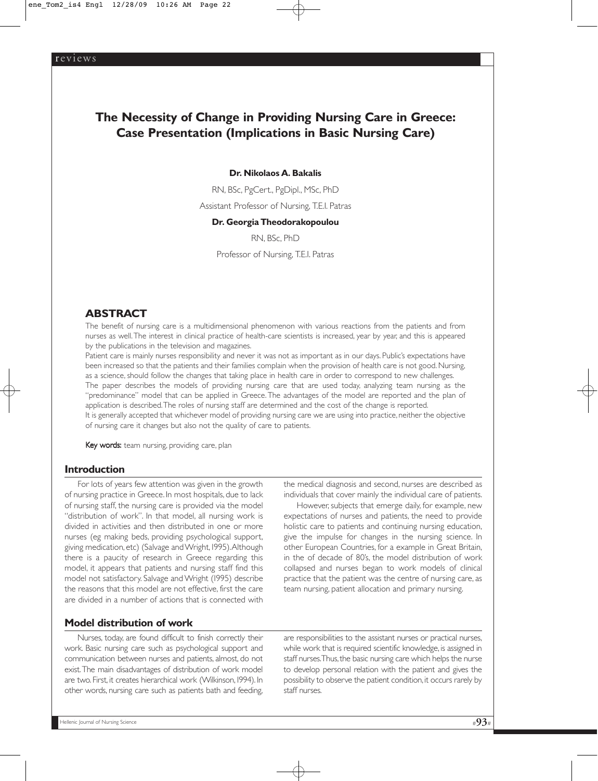# **The Necessity of Change in Providing Nursing Care in Greece: Case Presentation (Implications in Basic Nursing Care)**

#### **Dr. Nikolaos A. Bakalis**

RN, BSc, PgCert., PgDipl., MSc, PhD Assistant Professor of Nursing, Τ.Ε.Ι. Patras

#### **Dr. Georgia Theodorakopoulou**

RN, BSc, PhD Professor of Nursing, Τ.Ε.Ι. Patras

## **ABSTRACT**

The benefit of nursing care is a multidimensional phenomenon with various reactions from the patients and from nurses as well.The interest in clinical practice of health-care scientists is increased, year by year, and this is appeared by the publications in the television and magazines.

Patient care is mainly nurses responsibility and never it was not as important as in our days. Public's expectations have been increased so that the patients and their families complain when the provision of health care is not good. Nursing, as a science, should follow the changes that taking place in health care in order to correspond to new challenges.

The paper describes the models of providing nursing care that are used today, analyzing team nursing as the "predominance" model that can be applied in Greece. The advantages of the model are reported and the plan of application is described. The roles of nursing staff are determined and the cost of the change is reported.

It is generally accepted that whichever model of providing nursing care we are using into practice, neither the objective of nursing care it changes but also not the quality of care to patients.

Key words: team nursing, providing care, plan

## **Introduction**

For lots of years few attention was given in the growth of nursing practice in Greece. In most hospitals, due to lack of nursing staff, the nursing care is provided via the model "distribution of work". In that model, all nursing work is divided in activities and then distributed in one or more nurses (eg making beds, providing psychological support, giving medication, etc) (Salvage and Wright, 1995).Although there is a paucity of research in Greece regarding this model, it appears that patients and nursing staff find this model not satisfactory. Salvage and Wright (1995) describe the reasons that this model are not effective, first the care are divided in a number of actions that is connected with

the medical diagnosis and second, nurses are described as individuals that cover mainly the individual care of patients.

However, subjects that emerge daily, for example, new expectations of nurses and patients, the need to provide holistic care to patients and continuing nursing education, give the impulse for changes in the nursing science. In other European Countries, for a example in Great Britain, in the of decade of 80's, the model distribution of work collapsed and nurses began to work models of clinical practice that the patient was the centre of nursing care, as team nursing, patient allocation and primary nursing.

## **Model distribution of work**

Nurses, today, are found difficult to finish correctly their work. Basic nursing care such as psychological support and communication between nurses and patients, almost, do not exist.The main disadvantages of distribution of work model are two. First, it creates hierarchical work (Wilkinson, 1994). In other words, nursing care such as patients bath and feeding,

are responsibilities to the assistant nurses or practical nurses, while work that is required scientific knowledge, is assigned in staff nurses.Thus, the basic nursing care which helps the nurse to develop personal relation with the patient and gives the possibility to observe the patient condition, it occurs rarely by staff nurses.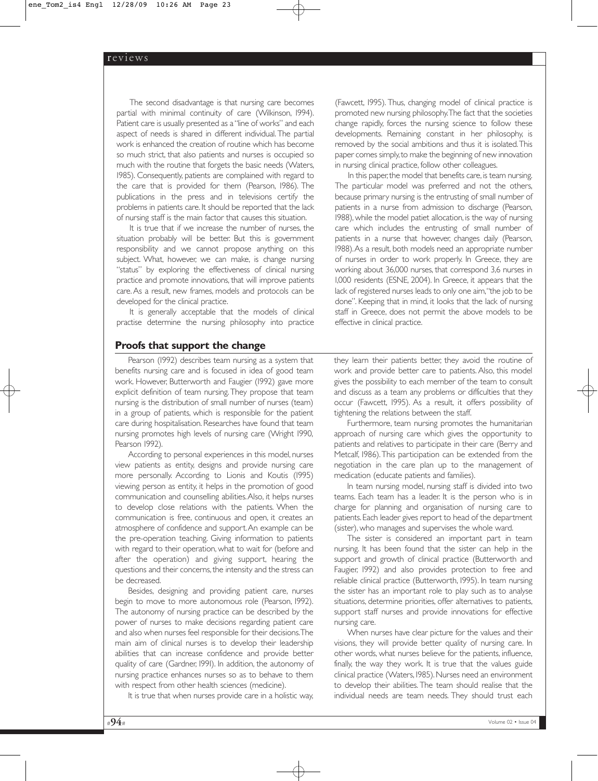The second disadvantage is that nursing care becomes partial with minimal continuity of care (Wilkinson, 1994). Patient care is usually presented as a "line of works" and each aspect of needs is shared in different individual. The partial work is enhanced the creation of routine which has become so much strict, that also patients and nurses is occupied so much with the routine that forgets the basic needs (Waters, 1985). Consequently, patients are complained with regard to the care that is provided for them (Pearson, 1986). The publications in the press and in televisions certify the problems in patients care. It should be reported that the lack of nursing staff is the main factor that causes this situation.

It is true that if we increase the number of nurses, the situation probably will be better. But this is government responsibility and we cannot propose anything on this subject. What, however, we can make, is change nursing "status" by exploring the effectiveness of clinical nursing practice and promote innovations, that will improve patients care.As a result, new frames, models and protocols can be developed for the clinical practice.

It is generally acceptable that the models of clinical practise determine the nursing philosophy into practice

## **Proofs that support the change**

Pearson (1992) describes team nursing as a system that benefits nursing care and is focused in idea of good team work. However, Butterworth and Faugier (1992) gave more explicit definition of team nursing.They propose that team nursing is the distribution of small number of nurses (team) in a group of patients, which is responsible for the patient care during hospitalisation. Researches have found that team nursing promotes high levels of nursing care (Wright 1990, Pearson 1992).

According to personal experiences in this model, nurses view patients as entity, designs and provide nursing care more personally. According to Lionis and Koutis (1995) viewing person as entity, it helps in the promotion of good communication and counselling abilities.Also, it helps nurses to develop close relations with the patients. When the communication is free, continuous and open, it creates an atmosphere of confidence and support.An example can be the pre-operation teaching. Giving information to patients with regard to their operation, what to wait for (before and after the operation) and giving support, hearing the questions and their concerns, the intensity and the stress can be decreased.

Besides, designing and providing patient care, nurses begin to move to more autonomous role (Pearson, 1992). The autonomy of nursing practice can be described by the power of nurses to make decisions regarding patient care and also when nurses feel responsible for their decisions.The main aim of clinical nurses is to develop their leadership abilities that can increase confidence and provide better quality of care (Gardner, 1991). In addition, the autonomy of nursing practice enhances nurses so as to behave to them with respect from other health sciences (medicine).

It is true that when nurses provide care in a holistic way,

(Fawcett, 1995). Thus, changing model of clinical practice is promoted new nursing philosophy.The fact that the societies change rapidly, forces the nursing science to follow these developments. Remaining constant in her philosophy, is removed by the social ambitions and thus it is isolated.This paper comes simply,to make the beginning of new innovation in nursing clinical practice, follow other colleagues.

In this paper, the model that benefits care, is team nursing. The particular model was preferred and not the others, because primary nursing is the entrusting of small number of patients in a nurse from admission to discharge (Pearson, 1988), while the model patiet allocation, is the way of nursing care which includes the entrusting of small number of patients in a nurse that however, changes daily (Pearson, 1988).As a result, both models need an appropriate number of nurses in order to work properly. In Greece, they are working about 36,000 nurses, that correspond 3,6 nurses in 1,000 residents (ESNE, 2004). In Greece, it appears that the lack of registered nurses leads to only one aim,"the job to be done". Keeping that in mind, it looks that the lack of nursing staff in Greece, does not permit the above models to be effective in clinical practice.

they learn their patients better, they avoid the routine of work and provide better care to patients. Also, this model gives the possibility to each member of the team to consult and discuss as a team any problems or difficulties that they occur (Fawcett, 1995). As a result, it offers possibility of tightening the relations between the staff.

Furthermore, team nursing promotes the humanitarian approach of nursing care which gives the opportunity to patients and relatives to participate in their care (Berry and Metcalf, 1986).This participation can be extended from the negotiation in the care plan up to the management of medication (educate patients and families).

In team nursing model, nursing staff is divided into two teams. Each team has a leader. It is the person who is in charge for planning and organisation of nursing care to patients.Each leader gives report to head of the department (sister), who manages and supervises the whole ward.

The sister is considered an important part in team nursing. It has been found that the sister can help in the support and growth of clinical practice (Butterworth and Faugier, 1992) and also provides protection to free and reliable clinical practice (Butterworth, 1995). In team nursing the sister has an important role to play such as to analyse situations, determine priorities, offer alternatives to patients, support staff nurses and provide innovations for effective nursing care.

When nurses have clear picture for the values and their visions, they will provide better quality of nursing care. In other words, what nurses believe for the patients, influence, finally, the way they work. It is true that the values guide clinical practice (Waters,1985).Nurses need an environment to develop their abilities. The team should realise that the individual needs are team needs. They should trust each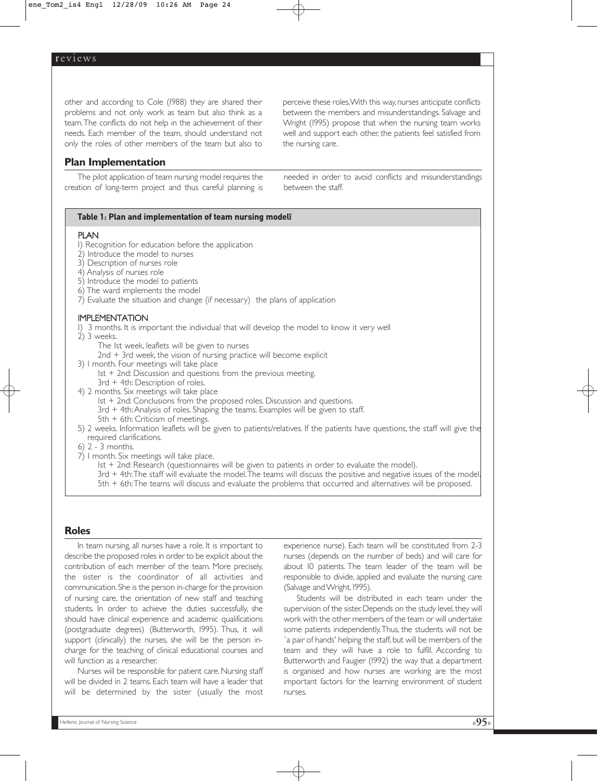other and according to Cole (1988) they are shared their problems and not only work as team but also think as a team.The conflicts do not help in the achievement of their needs. Each member of the team, should understand not only the roles of other members of the team but also to

## **Plan Implementation**

The pilot application of team nursing model requires the creation of long-term project and thus careful planning is perceive these roles. With this way, nurses anticipate conflicts between the members and misunderstandings. Salvage and Wright (1995) propose that when the nursing team works well and support each other, the patients feel satisfied from the nursing care.

needed in order to avoid conflicts and misunderstandings between the staff.

#### **Table 1: Plan and implementation of team nursing modelî**

#### PLAN

- 1) Recognition for education before the application
- 2) Introduce the model to nurses
- 3) Description of nurses role
- 4) Analysis of nurses role
- 5) Introduce the model to patients
- 6) The ward implements the model
- 7) Evaluate the situation and change (if necessary) the plans of application

#### IMPLEMENTATION

1) 3 months. It is important the individual that will develop the model to know it very well

- 2) 3 weeks.
	- The 1st week, leaflets will be given to nurses
	- 2nd + 3rd week, the vision of nursing practice will become explicit
- 3) 1 month. Four meetings will take place
	- $1st + 2nd$ : Discussion and questions from the previous meeting.
	- 3rd + 4th: Description of roles.
- 4) 2 months. Six meetings will take place
	- $1st + 2nd$ : Conclusions from the proposed roles. Discussion and questions.
	- 3rd + 4th: Analysis of roles. Shaping the teams. Examples will be given to staff.
	- 5th + 6th: Criticism of meetings.
- 5) 2 weeks. Information leaflets will be given to patients/relatives. If the patients have questions, the staff will give the required clarifications.
- 6) 2 3 months.
- 7) 1 month. Six meetings will take place.
	- 1st + 2nd: Research (questionnaires will be given to patients in order to evaluate the model).
	- 3rd + 4th:The staff will evaluate the model.The teams will discuss the positive and negative issues of the model.
	- 5th + 6th:The teams will discuss and evaluate the problems that occurred and alternatives will be proposed.

#### **Roles**

In team nursing, all nurses have a role. It is important to describe the proposed roles in order to be explicit about the contribution of each member of the team. More precisely, the sister is the coordinator of all activities and communication.She is the person in-charge for the provision of nursing care, the orientation of new staff and teaching students. In order to achieve the duties successfully, she should have clinical experience and academic qualifications (postgraduate degrees) (Butterworth, 1995). Thus, it will support (clinically) the nurses, she will be the person incharge for the teaching of clinical educational courses and will function as a researcher.

Nurses will be responsible for patient care. Nursing staff will be divided in 2 teams. Each team will have a leader that will be determined by the sister (usually the most

experience nurse). Each team will be constituted from 2-3 nurses (depends on the number of beds) and will care for about 10 patients. The team leader of the team will be responsible to divide, applied and evaluate the nursing care (Salvage and Wright, 1995).

Students will be distributed in each team under the supervision of the sister. Depends on the study level, they will work with the other members of the team or will undertake some patients independently.Thus, the students will not be `a pair of hands' helping the staff, but will be members of the team and they will have a role to fulfill. According to Butterworth and Faugier (1992) the way that a department is organised and how nurses are working are the most important factors for the learning environment of student nurses.